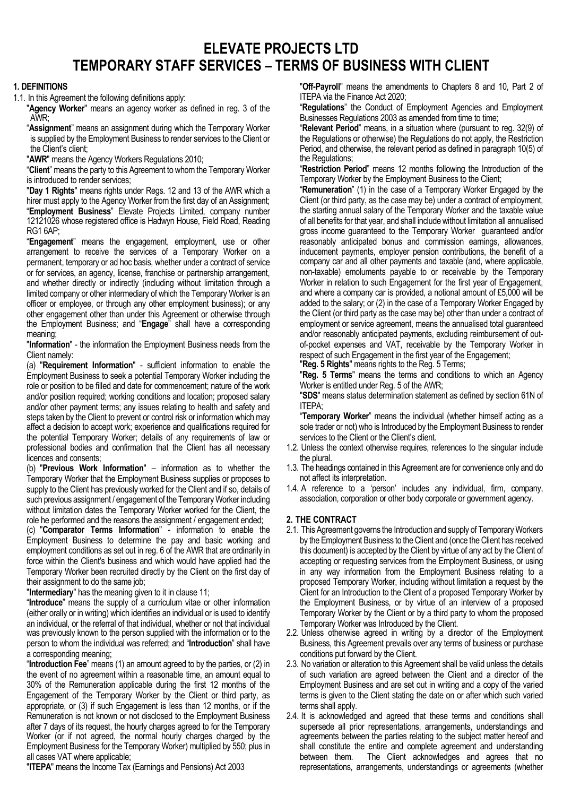# **ELEVATE PROJECTS LTD TEMPORARY STAFF SERVICES – TERMS OF BUSINESS WITH CLIENT**

### **1. DEFINITIONS**

1.1. In this Agreement the following definitions apply:

"**Agency Worker**" means an agency worker as defined in reg. 3 of the AWR;

"**Assignment**" means an assignment during which the Temporary Worker is supplied by the Employment Business to render services to the Client or the Client's client;

"**AWR**" means the Agency Workers Regulations 2010;

"**Client**" means the party to this Agreement to whom the Temporary Worker is introduced to render services;

"**Day 1 Rights**" means rights under Regs. 12 and 13 of the AWR which a hirer must apply to the Agency Worker from the first day of an Assignment; "**Employment Business**" Elevate Projects Limited, company number 12121026 whose registered office is Hadwyn House, Field Road, Reading RG1 6AP;

"**Engagement**" means the engagement, employment, use or other arrangement to receive the services of a Temporary Worker on a permanent, temporary or ad hoc basis, whether under a contract of service or for services, an agency, license, franchise or partnership arrangement, and whether directly or indirectly (including without limitation through a limited company or other intermediary of which the Temporary Worker is an officer or employee, or through any other employment business); or any other engagement other than under this Agreement or otherwise through the Employment Business; and "**Engage**" shall have a corresponding meaning;

"**Information**" - the information the Employment Business needs from the Client namely:

(a) "**Requirement Information**" - sufficient information to enable the Employment Business to seek a potential Temporary Worker including the role or position to be filled and date for commencement; nature of the work and/or position required; working conditions and location; proposed salary and/or other payment terms; any issues relating to health and safety and steps taken by the Client to prevent or control risk or information which may affect a decision to accept work; experience and qualifications required for the potential Temporary Worker; details of any requirements of law or professional bodies and confirmation that the Client has all necessary licences and consents;

(b) "**Previous Work Information**" – information as to whether the Temporary Worker that the Employment Business supplies or proposes to supply to the Client has previously worked for the Client and if so, details of such previous assignment / engagement of the Temporary Worker including without limitation dates the Temporary Worker worked for the Client, the role he performed and the reasons the assignment / engagement ended;

(c) "**Comparator Terms Information**" - information to enable the Employment Business to determine the pay and basic working and employment conditions as set out in reg. 6 of the AWR that are ordinarily in force within the Client's business and which would have applied had the Temporary Worker been recruited directly by the Client on the first day of their assignment to do the same job;

"**Intermediary**" has the meaning given to it in clause 11;

"**Introduce**" means the supply of a curriculum vitae or other information (either orally or in writing) which identifies an individual or is used to identify an individual, or the referral of that individual, whether or not that individual was previously known to the person supplied with the information or to the person to whom the individual was referred; and "**Introduction**" shall have a corresponding meaning;

"**Introduction Fee**" means (1) an amount agreed to by the parties, or (2) in the event of no agreement within a reasonable time, an amount equal to 30% of the Remuneration applicable during the first 12 months of the Engagement of the Temporary Worker by the Client or third party, as appropriate, or (3) if such Engagement is less than 12 months, or if the Remuneration is not known or not disclosed to the Employment Business after 7 days of its request, the hourly charges agreed to for the Temporary Worker (or if not agreed, the normal hourly charges charged by the Employment Business for the Temporary Worker) multiplied by 550; plus in all cases VAT where applicable;

"**ITEPA**" means the Income Tax (Earnings and Pensions) Act 2003

"**Off-Payroll**" means the amendments to Chapters 8 and 10, Part 2 of ITEPA via the Finance Act 2020;

"**Regulations**" the Conduct of Employment Agencies and Employment Businesses Regulations 2003 as amended from time to time;

"**Relevant Period**" means, in a situation where (pursuant to reg. 32(9) of the Regulations or otherwise) the Regulations do not apply, the Restriction Period, and otherwise, the relevant period as defined in paragraph 10(5) of the Regulations;

"**Restriction Period**" means 12 months following the Introduction of the Temporary Worker by the Employment Business to the Client;

"**Remuneration**" (1) in the case of a Temporary Worker Engaged by the Client (or third party, as the case may be) under a contract of employment, the starting annual salary of the Temporary Worker and the taxable value of all benefits for that year, and shall include without limitation all annualised gross income guaranteed to the Temporary Worker guaranteed and/or reasonably anticipated bonus and commission earnings, allowances, inducement payments, employer pension contributions, the benefit of a company car and all other payments and taxable (and, where applicable, non-taxable) emoluments payable to or receivable by the Temporary Worker in relation to such Engagement for the first year of Engagement, and where a company car is provided, a notional amount of £5,000 will be added to the salary; or (2) in the case of a Temporary Worker Engaged by the Client (or third party as the case may be) other than under a contract of employment or service agreement, means the annualised total guaranteed and/or reasonably anticipated payments, excluding reimbursement of outof-pocket expenses and VAT, receivable by the Temporary Worker in respect of such Engagement in the first year of the Engagement;

"**Reg. 5 Rights**" means rights to the Reg. 5 Terms;

"**Reg. 5 Terms**" means the terms and conditions to which an Agency Worker is entitled under Reg. 5 of the AWR;

"**SDS**" means status determination statement as defined by section 61N of ITEPA;

"**Temporary Worker**" means the individual (whether himself acting as a sole trader or not) who is Introduced by the Employment Business to render services to the Client or the Client's client.

- 1.2. Unless the context otherwise requires, references to the singular include the plural.
- 1.3. The headings contained in this Agreement are for convenience only and do not affect its interpretation.
- 1.4. A reference to a 'person' includes any individual, firm, company, association, corporation or other body corporate or government agency.

#### **2. THE CONTRACT**

- 2.1. This Agreement governs the Introduction and supply of Temporary Workers by the Employment Business to the Client and (once the Client has received this document) is accepted by the Client by virtue of any act by the Client of accepting or requesting services from the Employment Business, or using in any way information from the Employment Business relating to a proposed Temporary Worker, including without limitation a request by the Client for an Introduction to the Client of a proposed Temporary Worker by the Employment Business, or by virtue of an interview of a proposed Temporary Worker by the Client or by a third party to whom the proposed Temporary Worker was Introduced by the Client.
- 2.2. Unless otherwise agreed in writing by a director of the Employment Business, this Agreement prevails over any terms of business or purchase conditions put forward by the Client.
- 2.3. No variation or alteration to this Agreement shall be valid unless the details of such variation are agreed between the Client and a director of the Employment Business and are set out in writing and a copy of the varied terms is given to the Client stating the date on or after which such varied terms shall apply.
- 2.4. It is acknowledged and agreed that these terms and conditions shall supersede all prior representations, arrangements, understandings and agreements between the parties relating to the subject matter hereof and shall constitute the entire and complete agreement and understanding between them. The Client acknowledges and agrees that no representations, arrangements, understandings or agreements (whether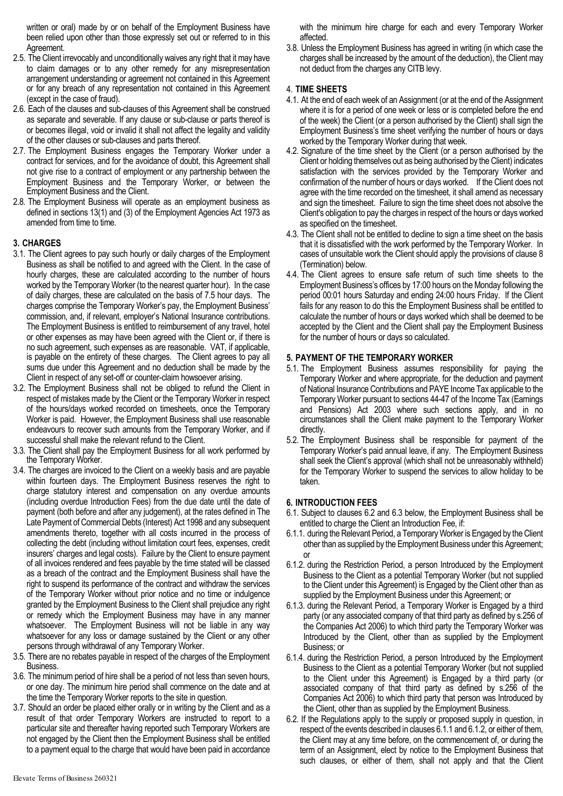written or oral) made by or on behalf of the Employment Business have been relied upon other than those expressly set out or referred to in this Agreement.

- 2.5. The Client irrevocably and unconditionally waives any right that it may have to claim damages or to any other remedy for any misrepresentation arrangement understanding or agreement not contained in this Agreement or for any breach of any representation not contained in this Agreement (except in the case of fraud).
- 2.6. Each of the clauses and sub-clauses of this Agreement shall be construed as separate and severable. If any clause or sub-clause or parts thereof is or becomes illegal, void or invalid it shall not affect the legality and validity of the other clauses or sub-clauses and parts thereof.
- 2.7. The Employment Business engages the Temporary Worker under a contract for services, and for the avoidance of doubt, this Agreement shall not give rise to a contract of employment or any partnership between the Employment Business and the Temporary Worker, or between the Employment Business and the Client.
- 2.8. The Employment Business will operate as an employment business as defined in sections 13(1) and (3) of the Employment Agencies Act 1973 as amended from time to time.

# **3. CHARGES**

- 3.1. The Client agrees to pay such hourly or daily charges of the Employment Business as shall be notified to and agreed with the Client. In the case of hourly charges, these are calculated according to the number of hours worked by the Temporary Worker (to the nearest quarter hour). In the case of daily charges, these are calculated on the basis of 7.5 hour days. The charges comprise the Temporary Worker's pay, the Employment Business' commission, and, if relevant, employer's National Insurance contributions. The Employment Business is entitled to reimbursement of any travel, hotel or other expenses as may have been agreed with the Client or, if there is no such agreement, such expenses as are reasonable. VAT, if applicable, is payable on the entirety of these charges. The Client agrees to pay all sums due under this Agreement and no deduction shall be made by the Client in respect of any set-off or counter-claim howsoever arising.
- 3.2. The Employment Business shall not be obliged to refund the Client in respect of mistakes made by the Client or the Temporary Worker in respect of the hours/days worked recorded on timesheets, once the Temporary Worker is paid. However, the Employment Business shall use reasonable endeavours to recover such amounts from the Temporary Worker, and if successful shall make the relevant refund to the Client.
- 3.3. The Client shall pay the Employment Business for all work performed by the Temporary Worker.
- 3.4. The charges are invoiced to the Client on a weekly basis and are payable within fourteen days. The Employment Business reserves the right to charge statutory interest and compensation on any overdue amounts (including overdue Introduction Fees) from the due date until the date of payment (both before and after any judgement), at the rates defined in The Late Payment of Commercial Debts (Interest) Act 1998 and any subsequent amendments thereto, together with all costs incurred in the process of collecting the debt (including without limitation court fees, expenses, credit insurers' charges and legal costs). Failure by the Client to ensure payment of all invoices rendered and fees payable by the time stated will be classed as a breach of the contract and the Employment Business shall have the right to suspend its performance of the contract and withdraw the services of the Temporary Worker without prior notice and no time or indulgence granted by the Employment Business to the Client shall prejudice any right or remedy which the Employment Business may have in any manner whatsoever. The Employment Business will not be liable in any way whatsoever for any loss or damage sustained by the Client or any other persons through withdrawal of any Temporary Worker.
- 3.5. There are no rebates payable in respect of the charges of the Employment Business.
- 3.6. The minimum period of hire shall be a period of not less than seven hours, or one day. The minimum hire period shall commence on the date and at the time the Temporary Worker reports to the site in question.
- 3.7. Should an order be placed either orally or in writing by the Client and as a result of that order Temporary Workers are instructed to report to a particular site and thereafter having reported such Temporary Workers are not engaged by the Client then the Employment Business shall be entitled to a payment equal to the charge that would have been paid in accordance

with the minimum hire charge for each and every Temporary Worker affected.

3.8. Unless the Employment Business has agreed in writing (in which case the charges shall be increased by the amount of the deduction), the Client may not deduct from the charges any CITB levy.

### 4. **TIME SHEETS**

- 4.1. At the end of each week of an Assignment (or at the end of the Assignment where it is for a period of one week or less or is completed before the end of the week) the Client (or a person authorised by the Client) shall sign the Employment Business's time sheet verifying the number of hours or days worked by the Temporary Worker during that week.
- 4.2. Signature of the time sheet by the Client (or a person authorised by the Client or holding themselves out as being authorised by the Client) indicates satisfaction with the services provided by the Temporary Worker and confirmation of the number of hours or days worked. If the Client does not agree with the time recorded on the timesheet, it shall amend as necessary and sign the timesheet. Failure to sign the time sheet does not absolve the Client's obligation to pay the charges in respect of the hours or days worked as specified on the timesheet.
- 4.3. The Client shall not be entitled to decline to sign a time sheet on the basis that it is dissatisfied with the work performed by the Temporary Worker. In cases of unsuitable work the Client should apply the provisions of clause 8 (Termination) below.
- 4.4. The Client agrees to ensure safe return of such time sheets to the Employment Business's offices by 17:00 hours on the Monday following the period 00:01 hours Saturday and ending 24:00 hours Friday. If the Client fails for any reason to do this the Employment Business shall be entitled to calculate the number of hours or days worked which shall be deemed to be accepted by the Client and the Client shall pay the Employment Business for the number of hours or days so calculated.

# **5. PAYMENT OF THE TEMPORARY WORKER**

- 5.1. The Employment Business assumes responsibility for paying the Temporary Worker and where appropriate, for the deduction and payment of National Insurance Contributions and PAYE Income Tax applicable to the Temporary Worker pursuant to sections 44-47 of the Income Tax (Earnings and Pensions) Act 2003 where such sections apply, and in no circumstances shall the Client make payment to the Temporary Worker directly.
- 5.2. The Employment Business shall be responsible for payment of the Temporary Worker's paid annual leave, if any. The Employment Business shall seek the Client's approval (which shall not be unreasonably withheld) for the Temporary Worker to suspend the services to allow holiday to be taken.

# **6. INTRODUCTION FEES**

- 6.1. Subject to clauses 6.2 and 6.3 below, the Employment Business shall be entitled to charge the Client an Introduction Fee, if:
- 6.1.1. during the Relevant Period, a Temporary Worker is Engaged by the Client other than as supplied by the Employment Business under this Agreement; or
- 6.1.2. during the Restriction Period, a person Introduced by the Employment Business to the Client as a potential Temporary Worker (but not supplied to the Client under this Agreement) is Engaged by the Client other than as supplied by the Employment Business under this Agreement; or
- 6.1.3. during the Relevant Period, a Temporary Worker is Engaged by a third party (or any associated company of that third party as defined by s.256 of the Companies Act 2006) to which third party the Temporary Worker was Introduced by the Client, other than as supplied by the Employment Business; or
- 6.1.4. during the Restriction Period, a person Introduced by the Employment Business to the Client as a potential Temporary Worker (but not supplied to the Client under this Agreement) is Engaged by a third party (or associated company of that third party as defined by s.256 of the Companies Act 2006) to which third party that person was Introduced by the Client, other than as supplied by the Employment Business.
- 6.2. If the Regulations apply to the supply or proposed supply in question, in respect of the events described in clauses 6.1.1 and 6.1.2, or either of them, the Client may at any time before, on the commencement of, or during the term of an Assignment, elect by notice to the Employment Business that such clauses, or either of them, shall not apply and that the Client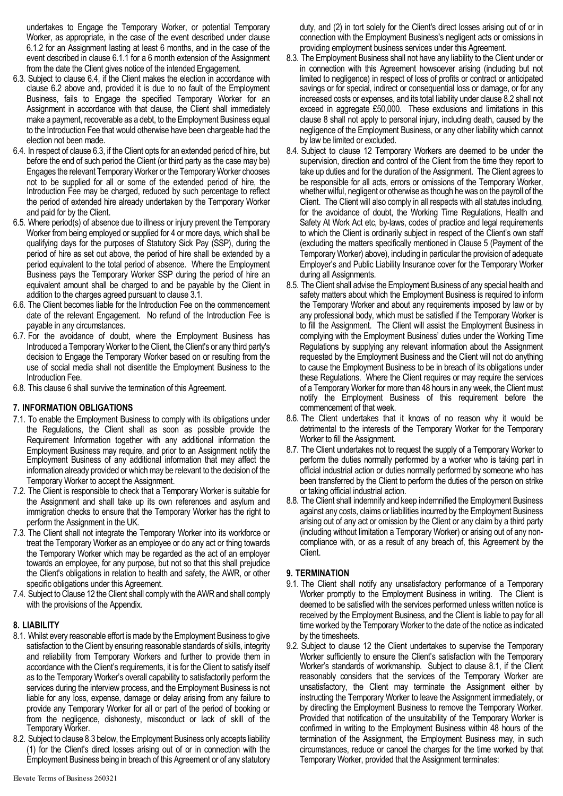undertakes to Engage the Temporary Worker, or potential Temporary Worker, as appropriate, in the case of the event described under clause 6.1.2 for an Assignment lasting at least 6 months, and in the case of the event described in clause 6.1.1 for a 6 month extension of the Assignment from the date the Client gives notice of the intended Engagement.

- 6.3. Subject to clause 6.4, if the Client makes the election in accordance with clause 6.2 above and, provided it is due to no fault of the Employment Business, fails to Engage the specified Temporary Worker for an Assignment in accordance with that clause, the Client shall immediately make a payment, recoverable as a debt, to the Employment Business equal to the Introduction Fee that would otherwise have been chargeable had the election not been made.
- 6.4. In respect of clause 6.3, if the Client opts for an extended period of hire, but before the end of such period the Client (or third party as the case may be) Engages the relevant Temporary Worker or the Temporary Worker chooses not to be supplied for all or some of the extended period of hire, the Introduction Fee may be charged, reduced by such percentage to reflect the period of extended hire already undertaken by the Temporary Worker and paid for by the Client.
- 6.5. Where period(s) of absence due to illness or injury prevent the Temporary Worker from being employed or supplied for 4 or more days, which shall be qualifying days for the purposes of Statutory Sick Pay (SSP), during the period of hire as set out above, the period of hire shall be extended by a period equivalent to the total period of absence. Where the Employment Business pays the Temporary Worker SSP during the period of hire an equivalent amount shall be charged to and be payable by the Client in addition to the charges agreed pursuant to clause 3.1.
- 6.6. The Client becomes liable for the Introduction Fee on the commencement date of the relevant Engagement. No refund of the Introduction Fee is payable in any circumstances.
- 6.7. For the avoidance of doubt, where the Employment Business has Introduced a Temporary Worker to the Client, the Client's or any third party's decision to Engage the Temporary Worker based on or resulting from the use of social media shall not disentitle the Employment Business to the Introduction Fee.
- 6.8. This clause 6 shall survive the termination of this Agreement.

# **7. INFORMATION OBLIGATIONS**

- 7.1. To enable the Employment Business to comply with its obligations under the Regulations, the Client shall as soon as possible provide the Requirement Information together with any additional information the Employment Business may require, and prior to an Assignment notify the Employment Business of any additional information that may affect the information already provided or which may be relevant to the decision of the Temporary Worker to accept the Assignment.
- 7.2. The Client is responsible to check that a Temporary Worker is suitable for the Assignment and shall take up its own references and asylum and immigration checks to ensure that the Temporary Worker has the right to perform the Assignment in the UK.
- 7.3. The Client shall not integrate the Temporary Worker into its workforce or treat the Temporary Worker as an employee or do any act or thing towards the Temporary Worker which may be regarded as the act of an employer towards an employee, for any purpose, but not so that this shall prejudice the Client's obligations in relation to health and safety, the AWR, or other specific obligations under this Agreement.
- 7.4. Subject to Clause 12 the Client shall comply with the AWR and shall comply with the provisions of the Appendix.

#### **8. LIABILITY**

- 8.1. Whilst every reasonable effort is made by the Employment Business to give satisfaction to the Client by ensuring reasonable standards of skills, integrity and reliability from Temporary Workers and further to provide them in accordance with the Client's requirements, it is for the Client to satisfy itself as to the Temporary Worker's overall capability to satisfactorily perform the services during the interview process, and the Employment Business is not liable for any loss, expense, damage or delay arising from any failure to provide any Temporary Worker for all or part of the period of booking or from the negligence, dishonesty, misconduct or lack of skill of the Temporary Worker.
- 8.2. Subject to clause 8.3 below, the Employment Business only accepts liability (1) for the Client's direct losses arising out of or in connection with the Employment Business being in breach of this Agreement or of any statutory

duty, and (2) in tort solely for the Client's direct losses arising out of or in connection with the Employment Business's negligent acts or omissions in providing employment business services under this Agreement.

- 8.3. The Employment Business shall not have any liability to the Client under or in connection with this Agreement howsoever arising (including but not limited to negligence) in respect of loss of profits or contract or anticipated savings or for special, indirect or consequential loss or damage, or for any increased costs or expenses, and its total liability under clause 8.2 shall not exceed in aggregate £50,000. These exclusions and limitations in this clause 8 shall not apply to personal injury, including death, caused by the negligence of the Employment Business, or any other liability which cannot by law be limited or excluded.
- 8.4. Subject to clause 12 Temporary Workers are deemed to be under the supervision, direction and control of the Client from the time they report to take up duties and for the duration of the Assignment. The Client agrees to be responsible for all acts, errors or omissions of the Temporary Worker, whether wilful, negligent or otherwise as though he was on the payroll of the Client. The Client will also comply in all respects with all statutes including, for the avoidance of doubt, the Working Time Regulations, Health and Safety At Work Act etc, by-laws, codes of practice and legal requirements to which the Client is ordinarily subject in respect of the Client's own staff (excluding the matters specifically mentioned in Clause 5 (Payment of the Temporary Worker) above), including in particular the provision of adequate Employer's and Public Liability Insurance cover for the Temporary Worker during all Assignments.
- 8.5. The Client shall advise the Employment Business of any special health and safety matters about which the Employment Business is required to inform the Temporary Worker and about any requirements imposed by law or by any professional body, which must be satisfied if the Temporary Worker is to fill the Assignment. The Client will assist the Employment Business in complying with the Employment Business' duties under the Working Time Regulations by supplying any relevant information about the Assignment requested by the Employment Business and the Client will not do anything to cause the Employment Business to be in breach of its obligations under these Regulations. Where the Client requires or may require the services of a Temporary Worker for more than 48 hours in any week, the Client must notify the Employment Business of this requirement before the commencement of that week.
- 8.6. The Client undertakes that it knows of no reason why it would be detrimental to the interests of the Temporary Worker for the Temporary Worker to fill the Assignment.
- 8.7. The Client undertakes not to request the supply of a Temporary Worker to perform the duties normally performed by a worker who is taking part in official industrial action or duties normally performed by someone who has been transferred by the Client to perform the duties of the person on strike or taking official industrial action.
- 8.8. The Client shall indemnify and keep indemnified the Employment Business against any costs, claims or liabilities incurred by the Employment Business arising out of any act or omission by the Client or any claim by a third party (including without limitation a Temporary Worker) or arising out of any noncompliance with, or as a result of any breach of, this Agreement by the Client.

# **9. TERMINATION**

- 9.1. The Client shall notify any unsatisfactory performance of a Temporary Worker promptly to the Employment Business in writing. The Client is deemed to be satisfied with the services performed unless written notice is received by the Employment Business, and the Client is liable to pay for all time worked by the Temporary Worker to the date of the notice as indicated by the timesheets.
- 9.2. Subject to clause 12 the Client undertakes to supervise the Temporary Worker sufficiently to ensure the Client's satisfaction with the Temporary Worker's standards of workmanship. Subject to clause 8.1, if the Client reasonably considers that the services of the Temporary Worker are unsatisfactory, the Client may terminate the Assignment either by instructing the Temporary Worker to leave the Assignment immediately, or by directing the Employment Business to remove the Temporary Worker. Provided that notification of the unsuitability of the Temporary Worker is confirmed in writing to the Employment Business within 48 hours of the termination of the Assignment, the Employment Business may, in such circumstances, reduce or cancel the charges for the time worked by that Temporary Worker, provided that the Assignment terminates: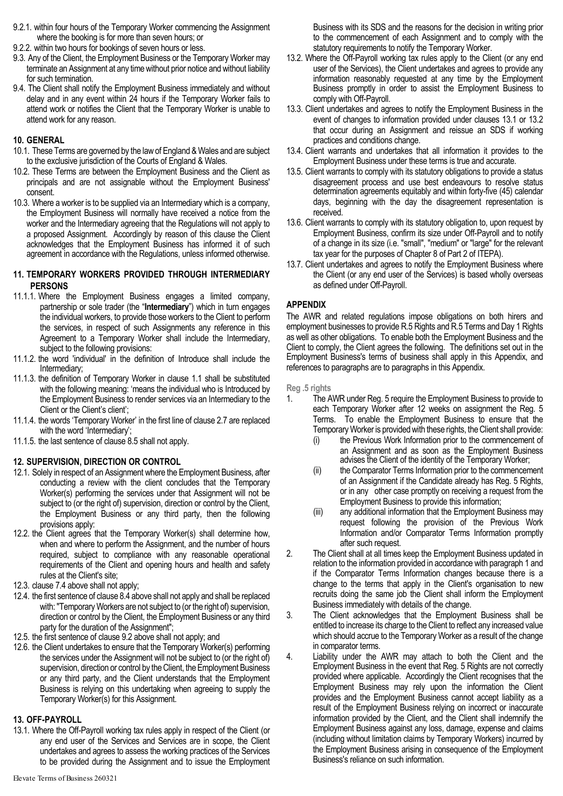- 9.2.1. within four hours of the Temporary Worker commencing the Assignment where the booking is for more than seven hours; or
- 9.2.2. within two hours for bookings of seven hours or less.
- 9.3. Any of the Client, the Employment Business or the Temporary Worker may terminate an Assignment at any time without prior notice and without liability for such termination.
- 9.4. The Client shall notify the Employment Business immediately and without delay and in any event within 24 hours if the Temporary Worker fails to attend work or notifies the Client that the Temporary Worker is unable to attend work for any reason.

# **10. GENERAL**

- 10.1. These Terms are governed by the law of England & Wales and are subject to the exclusive jurisdiction of the Courts of England & Wales.
- 10.2. These Terms are between the Employment Business and the Client as principals and are not assignable without the Employment Business' consent.
- 10.3. Where a worker is to be supplied via an Intermediary which is a company, the Employment Business will normally have received a notice from the worker and the Intermediary agreeing that the Regulations will not apply to a proposed Assignment. Accordingly by reason of this clause the Client acknowledges that the Employment Business has informed it of such agreement in accordance with the Regulations, unless informed otherwise.

# **11. TEMPORARY WORKERS PROVIDED THROUGH INTERMEDIARY PERSONS**

- 11.1.1. Where the Employment Business engages a limited company, partnership or sole trader (the "**Intermediary**") which in turn engages the individual workers, to provide those workers to the Client to perform the services, in respect of such Assignments any reference in this Agreement to a Temporary Worker shall include the Intermediary, subject to the following provisions:
- 11.1.2. the word 'individual' in the definition of Introduce shall include the Intermediary;
- 11.1.3. the definition of Temporary Worker in clause 1.1 shall be substituted with the following meaning: 'means the individual who is Introduced by the Employment Business to render services via an Intermediary to the Client or the Client's client';
- 11.1.4. the words 'Temporary Worker' in the first line of clause 2.7 are replaced with the word 'Intermediary';
- 11.1.5. the last sentence of clause 8.5 shall not apply.

# **12. SUPERVISION, DIRECTION OR CONTROL**

- 12.1. Solely in respect of an Assignment where the Employment Business, after conducting a review with the client concludes that the Temporary Worker(s) performing the services under that Assignment will not be subject to (or the right of) supervision, direction or control by the Client, the Employment Business or any third party, then the following provisions apply:
- 12.2. the Client agrees that the Temporary Worker(s) shall determine how, when and where to perform the Assignment, and the number of hours required, subject to compliance with any reasonable operational requirements of the Client and opening hours and health and safety rules at the Client's site;
- 12.3. clause 7.4 above shall not apply;
- 12.4. the first sentence of clause 8.4 above shall not apply and shall be replaced with: "Temporary Workers are not subject to (or the right of) supervision, direction or control by the Client, the Employment Business or any third party for the duration of the Assignment";
- 12.5. the first sentence of clause 9.2 above shall not apply; and
- 12.6. the Client undertakes to ensure that the Temporary Worker(s) performing the services under the Assignment will not be subject to (or the right of) supervision, direction or control by the Client, the Employment Business or any third party, and the Client understands that the Employment Business is relying on this undertaking when agreeing to supply the Temporary Worker(s) for this Assignment.

# **13. OFF-PAYROLL**

13.1. Where the Off-Payroll working tax rules apply in respect of the Client (or any end user of the Services and Services are in scope, the Client undertakes and agrees to assess the working practices of the Services to be provided during the Assignment and to issue the Employment

- 13.2. Where the Off-Payroll working tax rules apply to the Client (or any end user of the Services), the Client undertakes and agrees to provide any information reasonably requested at any time by the Employment Business promptly in order to assist the Employment Business to comply with Off-Payroll.
- 13.3. Client undertakes and agrees to notify the Employment Business in the event of changes to information provided under clauses 13.1 or 13.2 that occur during an Assignment and reissue an SDS if working practices and conditions change.
- 13.4. Client warrants and undertakes that all information it provides to the Employment Business under these terms is true and accurate.
- 13.5. Client warrants to comply with its statutory obligations to provide a status disagreement process and use best endeavours to resolve status determination agreements equitably and within forty-five (45) calendar days, beginning with the day the disagreement representation is received.
- 13.6. Client warrants to comply with its statutory obligation to, upon request by Employment Business, confirm its size under Off-Payroll and to notify of a change in its size (i.e. "small", "medium" or "large" for the relevant tax year for the purposes of Chapter 8 of Part 2 of ITEPA).
- 13.7. Client undertakes and agrees to notify the Employment Business where the Client (or any end user of the Services) is based wholly overseas as defined under Off-Payroll.

# **APPENDIX**

The AWR and related regulations impose obligations on both hirers and employment businesses to provide R.5 Rights and R.5 Terms and Day 1 Rights as well as other obligations. To enable both the Employment Business and the Client to comply, the Client agrees the following. The definitions set out in the Employment Business's terms of business shall apply in this Appendix, and references to paragraphs are to paragraphs in this Appendix.

**Reg .5 rights**

- 1. The AWR under Reg. 5 require the Employment Business to provide to each Temporary Worker after 12 weeks on assignment the Reg. 5 Terms. To enable the Employment Business to ensure that the Temporary Worker is provided with these rights, the Client shall provide:
	- (i) the Previous Work Information prior to the commencement of an Assignment and as soon as the Employment Business advises the Client of the identity of the Temporary Worker;
	- (ii) the Comparator Terms Information prior to the commencement of an Assignment if the Candidate already has Reg. 5 Rights, or in any other case promptly on receiving a request from the Employment Business to provide this information;
	- (iii) any additional information that the Employment Business may request following the provision of the Previous Work Information and/or Comparator Terms Information promptly after such request.
- 2. The Client shall at all times keep the Employment Business updated in relation to the information provided in accordance with paragraph 1 and if the Comparator Terms Information changes because there is a change to the terms that apply in the Client's organisation to new recruits doing the same job the Client shall inform the Employment Business immediately with details of the change.
- 3. The Client acknowledges that the Employment Business shall be entitled to increase its charge to the Client to reflect any increased value which should accrue to the Temporary Worker as a result of the change in comparator terms.
- 4. Liability under the AWR may attach to both the Client and the Employment Business in the event that Reg. 5 Rights are not correctly provided where applicable. Accordingly the Client recognises that the Employment Business may rely upon the information the Client provides and the Employment Business cannot accept liability as a result of the Employment Business relying on incorrect or inaccurate information provided by the Client, and the Client shall indemnify the Employment Business against any loss, damage, expense and claims (including without limitation claims by Temporary Workers) incurred by the Employment Business arising in consequence of the Employment Business's reliance on such information.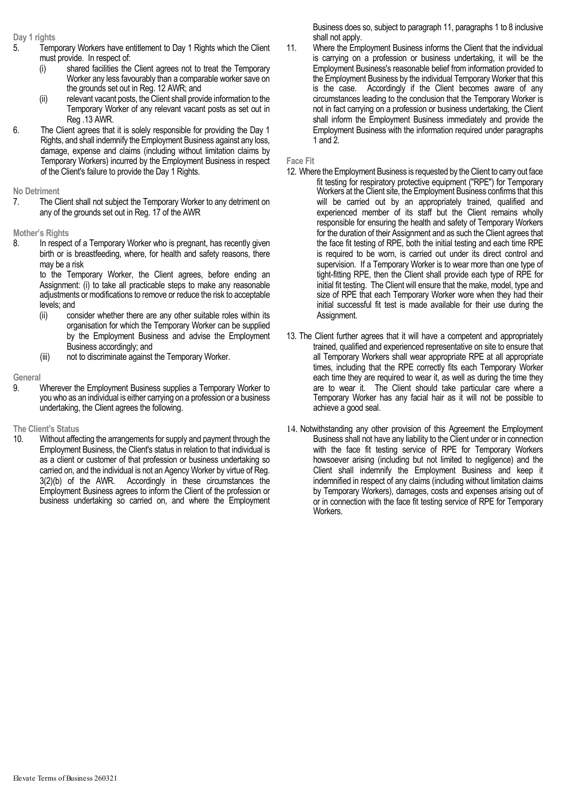#### **Day 1 rights**

- 5. Temporary Workers have entitlement to Day 1 Rights which the Client must provide. In respect of:
	- (i) shared facilities the Client agrees not to treat the Temporary Worker any less favourably than a comparable worker save on the grounds set out in Reg. 12 AWR; and
	- (ii) relevant vacant posts, the Client shall provide information to the Temporary Worker of any relevant vacant posts as set out in Reg .13 AWR.
- 6. The Client agrees that it is solely responsible for providing the Day 1 Rights, and shall indemnify the Employment Business against any loss, damage, expense and claims (including without limitation claims by Temporary Workers) incurred by the Employment Business in respect of the Client's failure to provide the Day 1 Rights.

**No Detriment**

7. The Client shall not subject the Temporary Worker to any detriment on any of the grounds set out in Reg. 17 of the AWR

#### **Mother's Rights**

8. In respect of a Temporary Worker who is pregnant, has recently given birth or is breastfeeding, where, for health and safety reasons, there may be a risk

 to the Temporary Worker, the Client agrees, before ending an Assignment: (i) to take all practicable steps to make any reasonable adjustments or modifications to remove or reduce the risk to acceptable levels; and

- (ii) consider whether there are any other suitable roles within its organisation for which the Temporary Worker can be supplied by the Employment Business and advise the Employment Business accordingly; and
- (iii) not to discriminate against the Temporary Worker.

#### **General**

9. Wherever the Employment Business supplies a Temporary Worker to you who as an individual is either carrying on a profession or a business undertaking, the Client agrees the following.

#### **The Client's Status**

10. Without affecting the arrangements for supply and payment through the Employment Business, the Client's status in relation to that individual is as a client or customer of that profession or business undertaking so carried on, and the individual is not an Agency Worker by virtue of Reg. 3(2)(b) of the AWR. Accordingly in these circumstances the Employment Business agrees to inform the Client of the profession or business undertaking so carried on, and where the Employment

Business does so, subject to paragraph 11, paragraphs 1 to 8 inclusive shall not apply.

11. Where the Employment Business informs the Client that the individual is carrying on a profession or business undertaking, it will be the Employment Business's reasonable belief from information provided to the Employment Business by the individual Temporary Worker that this is the case. Accordingly if the Client becomes aware of any circumstances leading to the conclusion that the Temporary Worker is not in fact carrying on a profession or business undertaking, the Client shall inform the Employment Business immediately and provide the Employment Business with the information required under paragraphs 1 and 2.

**Face Fit**

- 12. Where the Employment Business is requested by the Client to carry out face fit testing for respiratory protective equipment ("RPE") for Temporary Workers at the Client site, the Employment Business confirms that this will be carried out by an appropriately trained, qualified and experienced member of its staff but the Client remains wholly responsible for ensuring the health and safety of Temporary Workers for the duration of their Assignment and as such the Client agrees that the face fit testing of RPE, both the initial testing and each time RPE is required to be worn, is carried out under its direct control and supervision. If a Temporary Worker is to wear more than one type of tight-fitting RPE, then the Client shall provide each type of RPE for initial fit testing. The Client will ensure that the make, model, type and size of RPE that each Temporary Worker wore when they had their initial successful fit test is made available for their use during the Assignment.
- 13. The Client further agrees that it will have a competent and appropriately trained, qualified and experienced representative on site to ensure that all Temporary Workers shall wear appropriate RPE at all appropriate times, including that the RPE correctly fits each Temporary Worker each time they are required to wear it, as well as during the time they are to wear it. The Client should take particular care where a Temporary Worker has any facial hair as it will not be possible to achieve a good seal.
- 14. Notwithstanding any other provision of this Agreement the Employment Business shall not have any liability to the Client under or in connection with the face fit testing service of RPE for Temporary Workers howsoever arising (including but not limited to negligence) and the Client shall indemnify the Employment Business and keep it indemnified in respect of any claims (including without limitation claims by Temporary Workers), damages, costs and expenses arising out of or in connection with the face fit testing service of RPE for Temporary Workers.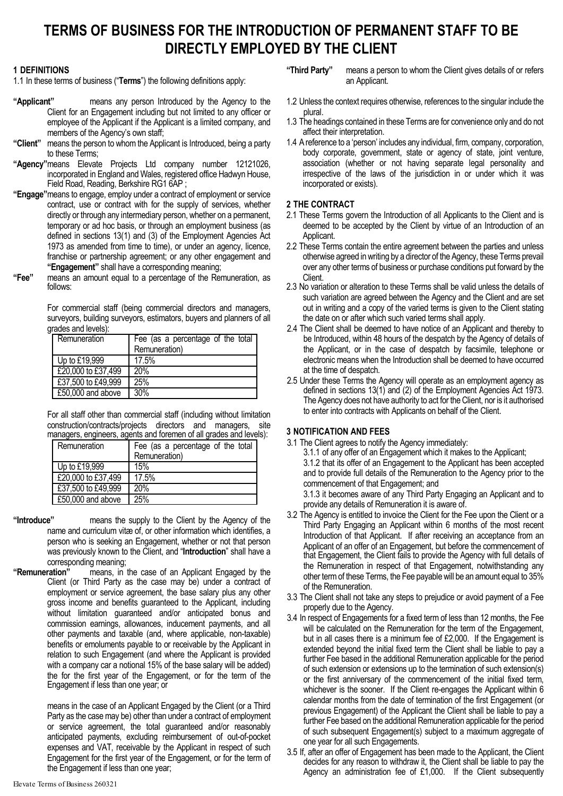# **TERMS OF BUSINESS FOR THE INTRODUCTION OF PERMANENT STAFF TO BE DIRECTLY EMPLOYED BY THE CLIENT**

#### **1 DEFINITIONS**

1.1 In these terms of business ("**Terms**") the following definitions apply:

- **"Applicant"** means any person Introduced by the Agency to the Client for an Engagement including but not limited to any officer or employee of the Applicant if the Applicant is a limited company, and members of the Agency's own staff;
- **"Client"** means the person to whom the Applicant is Introduced, being a party to these Terms;
- **"Agency"**means Elevate Projects Ltd company number 12121026, incorporated in England and Wales, registered office Hadwyn House, Field Road, Reading, Berkshire RG1 6AP ;
- **"Engage"**means to engage, employ under a contract of employment or service contract, use or contract with for the supply of services, whether directly or through any intermediary person, whether on a permanent, temporary or ad hoc basis, or through an employment business (as defined in sections 13(1) and (3) of the Employment Agencies Act 1973 as amended from time to time), or under an agency, licence, franchise or partnership agreement; or any other engagement and **"Engagement"** shall have a corresponding meaning;
- **"Fee"** means an amount equal to a percentage of the Remuneration, as follows:

For commercial staff (being commercial directors and managers, surveyors, building surveyors, estimators, buyers and planners of all grades and levels):

| Remuneration       | Fee (as a percentage of the total<br>Remuneration) |
|--------------------|----------------------------------------------------|
| Up to £19,999      | 17.5%                                              |
| £20,000 to £37,499 | 20%                                                |
| £37,500 to £49,999 | 25%                                                |
| £50,000 and above  | 30%                                                |

For all staff other than commercial staff (including without limitation construction/contracts/projects directors and managers, site managers, engineers, agents and foremen of all grades and levels):

| Remuneration       | Fee (as a percentage of the total<br>Remuneration) |
|--------------------|----------------------------------------------------|
| Up to £19,999      | 15%                                                |
| £20,000 to £37,499 | 17.5%                                              |
| £37,500 to £49,999 | 20%                                                |
| £50,000 and above  | 25%                                                |

**"Introduce"** means the supply to the Client by the Agency of the name and curriculum vitæ of, or other information which identifies, a person who is seeking an Engagement, whether or not that person was previously known to the Client, and "**Introduction**" shall have a

corresponding meaning;<br>**"Remuneration"** means, in means, in the case of an Applicant Engaged by the Client (or Third Party as the case may be) under a contract of employment or service agreement, the base salary plus any other gross income and benefits guaranteed to the Applicant, including without limitation guaranteed and/or anticipated bonus and commission earnings, allowances, inducement payments, and all other payments and taxable (and, where applicable, non-taxable) benefits or emoluments payable to or receivable by the Applicant in relation to such Engagement (and where the Applicant is provided with a company car a notional 15% of the base salary will be added) the for the first year of the Engagement, or for the term of the Engagement if less than one year; or

> means in the case of an Applicant Engaged by the Client (or a Third Party as the case may be) other than under a contract of employment or service agreement, the total guaranteed and/or reasonably anticipated payments, excluding reimbursement of out-of-pocket expenses and VAT, receivable by the Applicant in respect of such Engagement for the first year of the Engagement, or for the term of the Engagement if less than one year;

- 1.2 Unless the context requires otherwise, references to the singular include the plural.
- 1.3 The headings contained in these Terms are for convenience only and do not affect their interpretation.
- 1.4 A reference to a 'person' includes any individual, firm, company, corporation, body corporate, government, state or agency of state, joint venture, association (whether or not having separate legal personality and irrespective of the laws of the jurisdiction in or under which it was incorporated or exists).

# **2 THE CONTRACT**

- 2.1 These Terms govern the Introduction of all Applicants to the Client and is deemed to be accepted by the Client by virtue of an Introduction of an Applicant.
- 2.2 These Terms contain the entire agreement between the parties and unless otherwise agreed in writing by a director of the Agency, these Terms prevail over any other terms of business or purchase conditions put forward by the Client.
- 2.3 No variation or alteration to these Terms shall be valid unless the details of such variation are agreed between the Agency and the Client and are set out in writing and a copy of the varied terms is given to the Client stating the date on or after which such varied terms shall apply.
- 2.4 The Client shall be deemed to have notice of an Applicant and thereby to be Introduced, within 48 hours of the despatch by the Agency of details of the Applicant, or in the case of despatch by facsimile, telephone or electronic means when the Introduction shall be deemed to have occurred at the time of despatch.
- 2.5 Under these Terms the Agency will operate as an employment agency as defined in sections 13(1) and (2) of the Employment Agencies Act 1973. The Agency does not have authority to act for the Client, nor is it authorised to enter into contracts with Applicants on behalf of the Client.

# **3 NOTIFICATION AND FEES**

3.1 The Client agrees to notify the Agency immediately: 3.1.1 of any offer of an Engagement which it makes to the Applicant; 3.1.2 that its offer of an Engagement to the Applicant has been accepted and to provide full details of the Remuneration to the Agency prior to the commencement of that Engagement; and 3.1.3 it becomes aware of any Third Party Engaging an Applicant and to

provide any details of Remuneration it is aware of.

- 3.2 The Agency is entitled to invoice the Client for the Fee upon the Client or a Third Party Engaging an Applicant within 6 months of the most recent Introduction of that Applicant. If after receiving an acceptance from an Applicant of an offer of an Engagement, but before the commencement of that Engagement, the Client fails to provide the Agency with full details of the Remuneration in respect of that Engagement, notwithstanding any other term of these Terms, the Fee payable will be an amount equal to 35% of the Remuneration.
- 3.3 The Client shall not take any steps to prejudice or avoid payment of a Fee properly due to the Agency.
- 3.4 In respect of Engagements for a fixed term of less than 12 months, the Fee will be calculated on the Remuneration for the term of the Engagement, but in all cases there is a minimum fee of £2,000. If the Engagement is extended beyond the initial fixed term the Client shall be liable to pay a further Fee based in the additional Remuneration applicable for the period of such extension or extensions up to the termination of such extension(s) or the first anniversary of the commencement of the initial fixed term, whichever is the sooner. If the Client re-engages the Applicant within 6 calendar months from the date of termination of the first Engagement (or previous Engagement) of the Applicant the Client shall be liable to pay a further Fee based on the additional Remuneration applicable for the period of such subsequent Engagement(s) subject to a maximum aggregate of one year for all such Engagements.
- 3.5 If, after an offer of Engagement has been made to the Applicant, the Client decides for any reason to withdraw it, the Client shall be liable to pay the Agency an administration fee of £1,000. If the Client subsequently